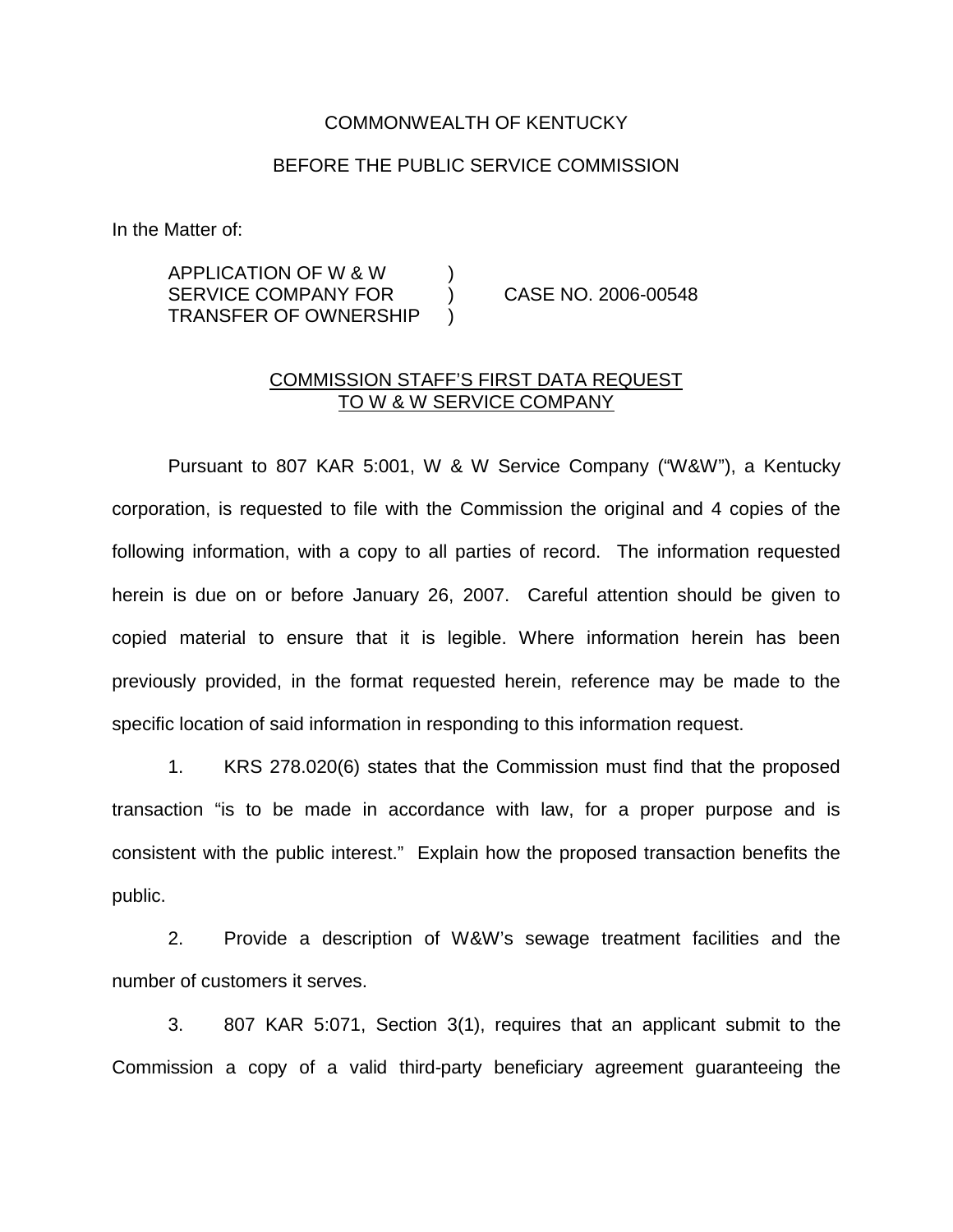## COMMONWEALTH OF KENTUCKY

## BEFORE THE PUBLIC SERVICE COMMISSION

In the Matter of:

## APPLICATION OF W & W ) SERVICE COMPANY FOR (2006-00548) TRANSFER OF OWNERSHIP )

## COMMISSION STAFF'S FIRST DATA REQUEST TO W & W SERVICE COMPANY

Pursuant to 807 KAR 5:001, W & W Service Company ("W&W"), a Kentucky corporation, is requested to file with the Commission the original and 4 copies of the following information, with a copy to all parties of record. The information requested herein is due on or before January 26, 2007. Careful attention should be given to copied material to ensure that it is legible. Where information herein has been previously provided, in the format requested herein, reference may be made to the specific location of said information in responding to this information request.

1. KRS 278.020(6) states that the Commission must find that the proposed transaction "is to be made in accordance with law, for a proper purpose and is consistent with the public interest." Explain how the proposed transaction benefits the public.

2. Provide a description of W&W's sewage treatment facilities and the number of customers it serves.

3. 807 KAR 5:071, Section 3(1), requires that an applicant submit to the Commission a copy of a valid third-party beneficiary agreement guaranteeing the